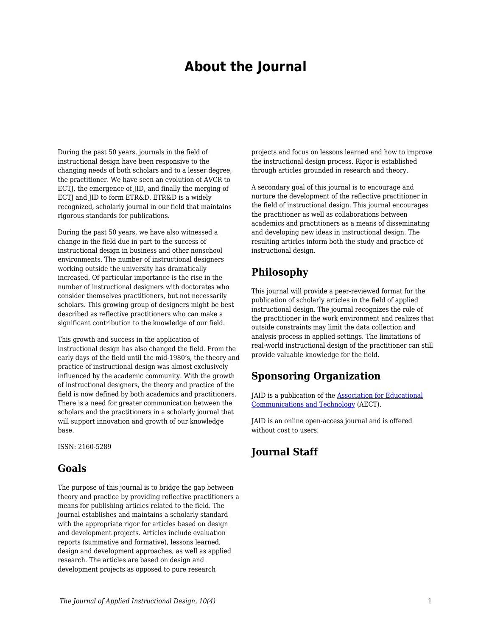# **About the Journal**

During the past 50 years, journals in the field of instructional design have been responsive to the changing needs of both scholars and to a lesser degree, the practitioner. We have seen an evolution of AVCR to ECTJ, the emergence of JID, and finally the merging of ECTI and IID to form ETR&D. ETR&D is a widely recognized, scholarly journal in our field that maintains rigorous standards for publications.

During the past 50 years, we have also witnessed a change in the field due in part to the success of instructional design in business and other nonschool environments. The number of instructional designers working outside the university has dramatically increased. Of particular importance is the rise in the number of instructional designers with doctorates who consider themselves practitioners, but not necessarily scholars. This growing group of designers might be best described as reflective practitioners who can make a significant contribution to the knowledge of our field.

This growth and success in the application of instructional design has also changed the field. From the early days of the field until the mid-1980's, the theory and practice of instructional design was almost exclusively influenced by the academic community. With the growth of instructional designers, the theory and practice of the field is now defined by both academics and practitioners. There is a need for greater communication between the scholars and the practitioners in a scholarly journal that will support innovation and growth of our knowledge base.

ISSN: 2160-5289

#### **Goals**

The purpose of this journal is to bridge the gap between theory and practice by providing reflective practitioners a means for publishing articles related to the field. The journal establishes and maintains a scholarly standard with the appropriate rigor for articles based on design and development projects. Articles include evaluation reports (summative and formative), lessons learned, design and development approaches, as well as applied research. The articles are based on design and development projects as opposed to pure research

projects and focus on lessons learned and how to improve the instructional design process. Rigor is established through articles grounded in research and theory.

A secondary goal of this journal is to encourage and nurture the development of the reflective practitioner in the field of instructional design. This journal encourages the practitioner as well as collaborations between academics and practitioners as a means of disseminating and developing new ideas in instructional design. The resulting articles inform both the study and practice of instructional design.

### **Philosophy**

This journal will provide a peer-reviewed format for the publication of scholarly articles in the field of applied instructional design. The journal recognizes the role of the practitioner in the work environment and realizes that outside constraints may limit the data collection and analysis process in applied settings. The limitations of real-world instructional design of the practitioner can still provide valuable knowledge for the field.

## **Sponsoring Organization**

JAID is a publication of the [Association for Educational](https://www.aect.org/) [Communications and Technology](https://www.aect.org/) (AECT).

JAID is an online open-access journal and is offered without cost to users.

# **Journal Staff**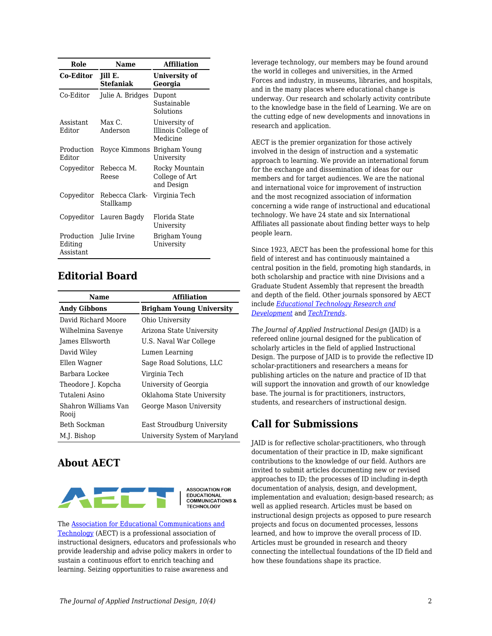| Role                                                   | <b>Name</b>                        | <b>Affiliation</b>                               |
|--------------------------------------------------------|------------------------------------|--------------------------------------------------|
| Co-Editor                                              | <b>Jill E.</b><br><b>Stefaniak</b> | University of<br>Georgia                         |
| Co-Editor                                              | Julie A. Bridges                   | Dupont<br>Sustainable<br>Solutions               |
| Assistant<br>Editor                                    | Max C<br>Anderson                  | University of<br>Illinois College of<br>Medicine |
| Production<br>Editor                                   | Royce Kimmons Brigham Young        | University                                       |
| Copyeditor                                             | Rebecca M.<br>Reese                | Rocky Mountain<br>College of Art<br>and Design   |
| Copyeditor                                             | Rebecca Clark-<br>Stallkamp        | Virginia Tech                                    |
| Copyeditor                                             | Lauren Bagdy                       | Florida State<br>University                      |
| Production Julie Irvine<br>Editing<br><b>Assistant</b> |                                    | Brigham Young<br>University                      |

## **Editorial Board**

| Name                          | <b>Affiliation</b>              |  |
|-------------------------------|---------------------------------|--|
| <b>Andy Gibbons</b>           | <b>Brigham Young University</b> |  |
| David Richard Moore           | Ohio University                 |  |
| Wilhelmina Savenye            | Arizona State University        |  |
| James Ellsworth               | U.S. Naval War College          |  |
| David Wiley                   | Lumen Learning                  |  |
| Ellen Wagner                  | Sage Road Solutions, LLC        |  |
| Barbara Lockee                | Virginia Tech                   |  |
| Theodore J. Kopcha            | University of Georgia           |  |
| Tutaleni Asino                | Oklahoma State University       |  |
| Shahron Williams Van<br>Rooij | George Mason University         |  |
| Beth Sockman                  | East Stroudburg University      |  |
| M.J. Bishop                   | University System of Maryland   |  |

# **About AECT**



**ASSOCIATION FOR EDUCATIONAL<br>COMMUNICATIONS & TECHNOLOGY** 

The [Association for Educational Communications and](https://www.aect.org/) [Technology](https://www.aect.org/) (AECT) is a professional association of instructional designers, educators and professionals who provide leadership and advise policy makers in order to sustain a continuous effort to enrich teaching and learning. Seizing opportunities to raise awareness and

leverage technology, our members may be found around the world in colleges and universities, in the Armed Forces and industry, in museums, libraries, and hospitals, and in the many places where educational change is underway. Our research and scholarly activity contribute to the knowledge base in the field of Learning. We are on the cutting edge of new developments and innovations in research and application.

AECT is the premier organization for those actively involved in the design of instruction and a systematic approach to learning. We provide an international forum for the exchange and dissemination of ideas for our members and for target audiences. We are the national and international voice for improvement of instruction and the most recognized association of information concerning a wide range of instructional and educational technology. We have 24 state and six International Affiliates all passionate about finding better ways to help people learn.

Since 1923, AECT has been the professional home for this field of interest and has continuously maintained a central position in the field, promoting high standards, in both scholarship and practice with nine Divisions and a Graduate Student Assembly that represent the breadth and depth of the field. Other journals sponsored by AECT include *[Educational Technology Research and](https://www.springer.com/journal/11423) [Development](https://www.springer.com/journal/11423)* and *[TechTrends](https://www.springer.com/journal/11528)*.

*The Journal of Applied Instructional Design* (JAID) is a refereed online journal designed for the publication of scholarly articles in the field of applied Instructional Design. The purpose of JAID is to provide the reflective ID scholar-practitioners and researchers a means for publishing articles on the nature and practice of ID that will support the innovation and growth of our knowledge base. The journal is for practitioners, instructors, students, and researchers of instructional design.

# **Call for Submissions**

JAID is for reflective scholar-practitioners, who through documentation of their practice in ID, make significant contributions to the knowledge of our field. Authors are invited to submit articles documenting new or revised approaches to ID; the processes of ID including in-depth documentation of analysis, design, and development, implementation and evaluation; design-based research; as well as applied research. Articles must be based on instructional design projects as opposed to pure research projects and focus on documented processes, lessons learned, and how to improve the overall process of ID. Articles must be grounded in research and theory connecting the intellectual foundations of the ID field and how these foundations shape its practice.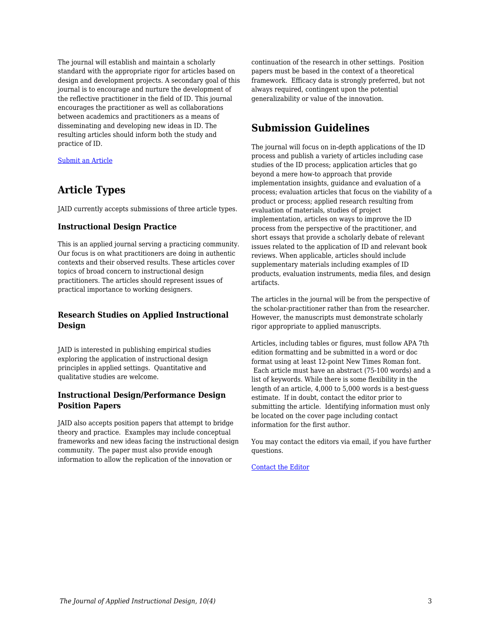The journal will establish and maintain a scholarly standard with the appropriate rigor for articles based on design and development projects. A secondary goal of this journal is to encourage and nurture the development of the reflective practitioner in the field of ID. This journal encourages the practitioner as well as collaborations between academics and practitioners as a means of disseminating and developing new ideas in ID. The resulting articles should inform both the study and practice of ID.

[Submit an Article](https://docs.google.com/forms/d/e/1FAIpQLSdetYatKzxU7poSBjfLgKIJ-cXUT5aFDj7XVADK4B-pZTSNRQ/viewform)

## **Article Types**

JAID currently accepts submissions of three article types.

#### **Instructional Design Practice**

This is an applied journal serving a practicing community. Our focus is on what practitioners are doing in authentic contexts and their observed results. These articles cover topics of broad concern to instructional design practitioners. The articles should represent issues of practical importance to working designers.

#### **Research Studies on Applied Instructional Design**

JAID is interested in publishing empirical studies exploring the application of instructional design principles in applied settings. Quantitative and qualitative studies are welcome.

#### **Instructional Design/Performance Design Position Papers**

JAID also accepts position papers that attempt to bridge theory and practice. Examples may include conceptual frameworks and new ideas facing the instructional design community. The paper must also provide enough information to allow the replication of the innovation or

continuation of the research in other settings. Position papers must be based in the context of a theoretical framework. Efficacy data is strongly preferred, but not always required, contingent upon the potential generalizability or value of the innovation.

# **Submission Guidelines**

The journal will focus on in-depth applications of the ID process and publish a variety of articles including case studies of the ID process; application articles that go beyond a mere how-to approach that provide implementation insights, guidance and evaluation of a process; evaluation articles that focus on the viability of a product or process; applied research resulting from evaluation of materials, studies of project implementation, articles on ways to improve the ID process from the perspective of the practitioner, and short essays that provide a scholarly debate of relevant issues related to the application of ID and relevant book reviews. When applicable, articles should include supplementary materials including examples of ID products, evaluation instruments, media files, and design artifacts.

The articles in the journal will be from the perspective of the scholar-practitioner rather than from the researcher. However, the manuscripts must demonstrate scholarly rigor appropriate to applied manuscripts.

Articles, including tables or figures, must follow APA 7th edition formatting and be submitted in a word or doc format using at least 12-point New Times Roman font. Each article must have an abstract (75-100 words) and a list of keywords. While there is some flexibility in the length of an article, 4,000 to 5,000 words is a best-guess estimate. If in doubt, contact the editor prior to submitting the article. Identifying information must only be located on the cover page including contact information for the first author.

You may contact the editors via email, if you have further questions.

[Contact the Editor](mailto:jill.stefaniak@uga.edu?subject=JAID%20Question)